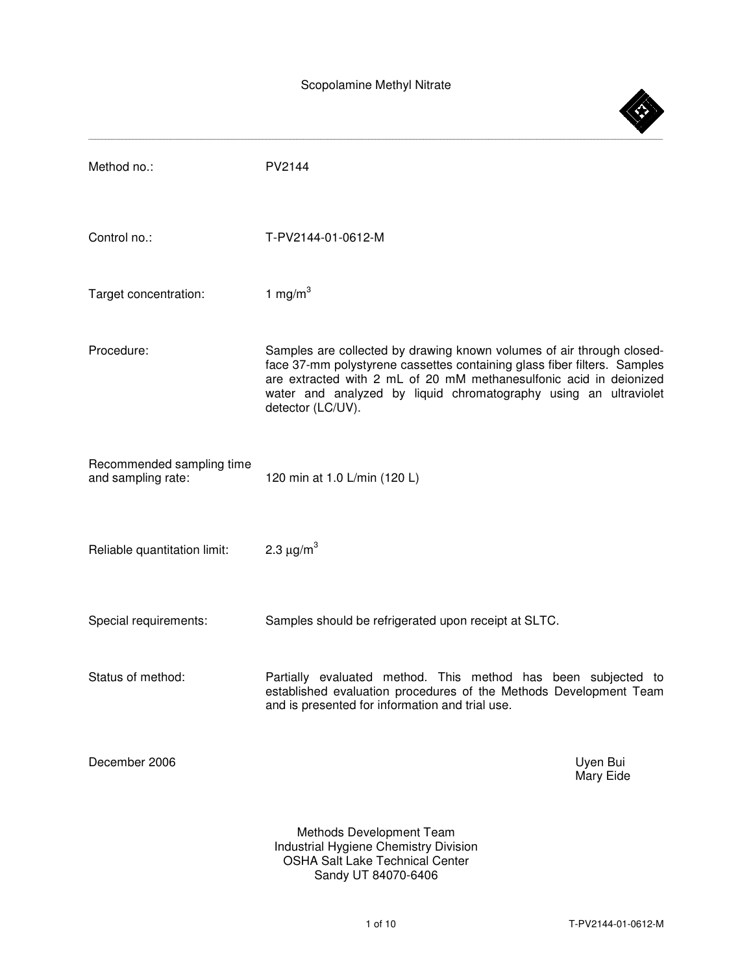

OSHA Salt Lake Technical Center Sandy UT 84070-6406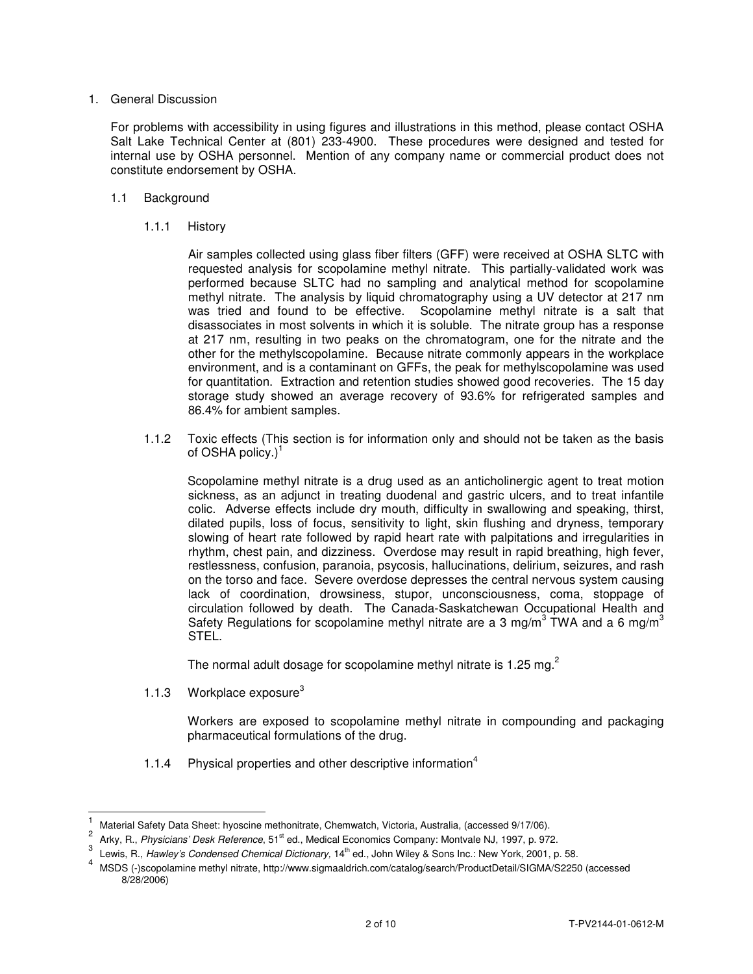# 1. General Discussion

 For problems with accessibility in using figures and illustrations in this method, please contact OSHA Salt Lake Technical Center at (801) 233-4900. These procedures were designed and tested for internal use by OSHA personnel. Mention of any company name or commercial product does not constitute endorsement by OSHA.

- 1.1 Background
	- 1.1.1 History

Air samples collected using glass fiber filters (GFF) were received at OSHA SLTC with requested analysis for scopolamine methyl nitrate. This partially-validated work was performed because SLTC had no sampling and analytical method for scopolamine methyl nitrate. The analysis by liquid chromatography using a UV detector at 217 nm was tried and found to be effective. Scopolamine methyl nitrate is a salt that disassociates in most solvents in which it is soluble. The nitrate group has a response at 217 nm, resulting in two peaks on the chromatogram, one for the nitrate and the other for the methylscopolamine. Because nitrate commonly appears in the workplace environment, and is a contaminant on GFFs, the peak for methylscopolamine was used for quantitation. Extraction and retention studies showed good recoveries. The 15 day storage study showed an average recovery of 93.6% for refrigerated samples and 86.4% for ambient samples.

 1.1.2 Toxic effects (This section is for information only and should not be taken as the basis of OSHA policy.) $1$ 

 Scopolamine methyl nitrate is a drug used as an anticholinergic agent to treat motion sickness, as an adjunct in treating duodenal and gastric ulcers, and to treat infantile colic. Adverse effects include dry mouth, difficulty in swallowing and speaking, thirst, dilated pupils, loss of focus, sensitivity to light, skin flushing and dryness, temporary slowing of heart rate followed by rapid heart rate with palpitations and irregularities in rhythm, chest pain, and dizziness. Overdose may result in rapid breathing, high fever, restlessness, confusion, paranoia, psycosis, hallucinations, delirium, seizures, and rash on the torso and face. Severe overdose depresses the central nervous system causing lack of coordination, drowsiness, stupor, unconsciousness, coma, stoppage of circulation followed by death. The Canada-Saskatchewan Occupational Health and Safety Regulations for scopolamine methyl nitrate are a 3 mg/m<sup>3</sup> TWA and a 6 mg/m<sup>3</sup> STEL.

The normal adult dosage for scopolamine methyl nitrate is 1.25 mg. $^2$ 

1.1.3 Workplace exposure $3$ 

 Workers are exposed to scopolamine methyl nitrate in compounding and packaging pharmaceutical formulations of the drug.

1.1.4 Physical properties and other descriptive information<sup>4</sup>

 $\frac{1}{1}$ Material Safety Data Sheet: hyoscine methonitrate, Chemwatch, Victoria, Australia, (accessed 9/17/06).

<sup>2</sup> Arky, R., Physicians' Desk Reference, 51<sup>st</sup> ed., Medical Economics Company: Montvale NJ, 1997, p. 972.

<sup>3</sup> Lewis, R., Hawley's Condensed Chemical Dictionary, 14<sup>th</sup> ed., John Wiley & Sons Inc.: New York, 2001, p. 58.

<sup>4</sup> MSDS (-)scopolamine methyl nitrate, http://www.sigmaaldrich.com/catalog/search/ProductDetail/SIGMA/S2250 (accessed 8/28/2006)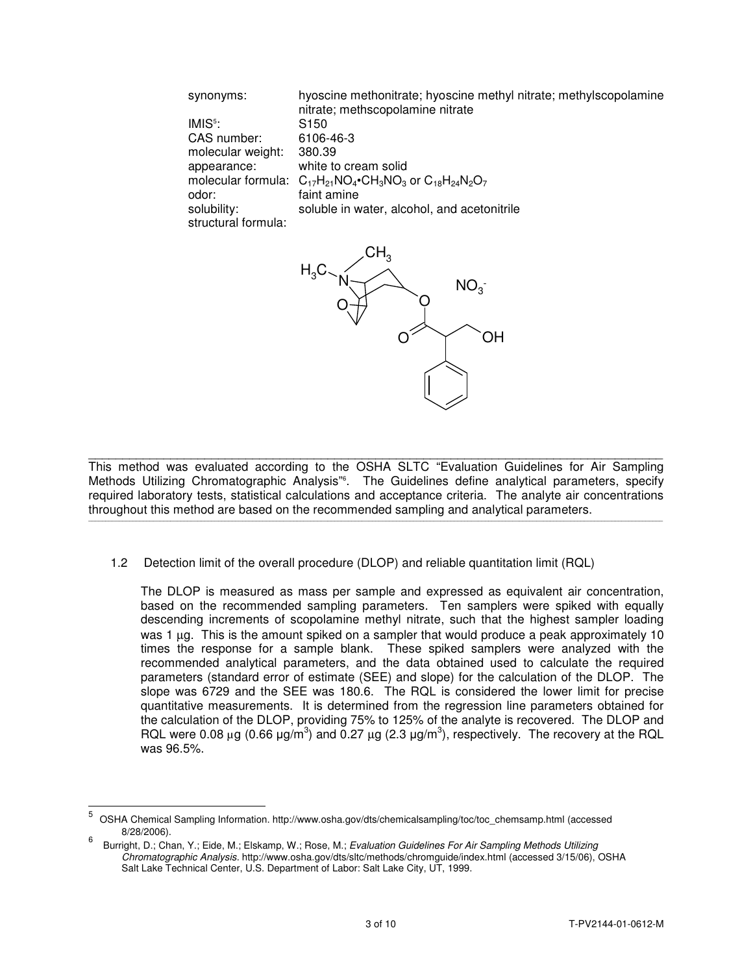| synonyms:           | hyoscine methonitrate; hyoscine methyl nitrate; methylscopolamine<br>nitrate; methscopolamine nitrate |
|---------------------|-------------------------------------------------------------------------------------------------------|
| $IMIS5$ :           | S <sub>150</sub>                                                                                      |
| CAS number:         | 6106-46-3                                                                                             |
| molecular weight:   | 380.39                                                                                                |
| appearance:         | white to cream solid                                                                                  |
|                     | molecular formula: $C_{17}H_{21}NO_4$ •CH <sub>3</sub> NO <sub>3</sub> or $C_{18}H_{24}N_2O_7$        |
| odor:               | faint amine                                                                                           |
| solubility:         | soluble in water, alcohol, and acetonitrile                                                           |
| structural formula: |                                                                                                       |



\_\_\_\_\_\_\_\_\_\_\_\_\_\_\_\_\_\_\_\_\_\_\_\_\_\_\_\_\_\_\_\_\_\_\_\_\_\_\_\_\_\_\_\_\_\_\_\_\_\_\_\_\_\_\_\_\_\_\_\_\_\_\_\_\_\_\_\_\_\_\_\_\_\_\_\_\_\_\_\_\_\_\_\_ This method was evaluated according to the OSHA SLTC "Evaluation Guidelines for Air Sampling Methods Utilizing Chromatographic Analysis"<sup>6</sup>. The Guidelines define analytical parameters, specify required laboratory tests, statistical calculations and acceptance criteria. The analyte air concentrations throughout this method are based on the recommended sampling and analytical parameters. \_\_\_\_\_\_\_\_\_\_\_\_\_\_\_\_\_\_\_\_\_\_\_\_\_\_\_\_\_\_\_\_\_\_\_\_\_\_\_\_\_\_\_\_\_\_\_\_\_\_\_\_\_\_\_\_\_\_\_\_\_\_\_\_\_\_\_\_\_\_\_\_\_\_\_\_\_\_\_\_\_\_\_\_\_\_\_\_\_\_\_\_\_\_\_\_\_\_\_\_\_\_\_\_\_\_\_\_\_\_\_\_\_\_\_\_\_\_\_\_\_\_\_\_\_\_\_\_\_\_\_\_\_\_\_\_\_\_\_\_\_\_\_\_\_\_\_\_\_\_\_\_\_\_\_\_\_\_\_\_\_\_\_\_\_\_\_\_

1.2 Detection limit of the overall procedure (DLOP) and reliable quantitation limit (RQL)

 The DLOP is measured as mass per sample and expressed as equivalent air concentration, based on the recommended sampling parameters. Ten samplers were spiked with equally descending increments of scopolamine methyl nitrate, such that the highest sampler loading was 1 µg. This is the amount spiked on a sampler that would produce a peak approximately 10 times the response for a sample blank. These spiked samplers were analyzed with the recommended analytical parameters, and the data obtained used to calculate the required parameters (standard error of estimate (SEE) and slope) for the calculation of the DLOP. The slope was 6729 and the SEE was 180.6. The RQL is considered the lower limit for precise quantitative measurements. It is determined from the regression line parameters obtained for the calculation of the DLOP, providing 75% to 125% of the analyte is recovered. The DLOP and RQL were 0.08  $\mu$ g (0.66  $\mu$ g/m<sup>3</sup>) and 0.27  $\mu$ g (2.3  $\mu$ g/m<sup>3</sup>), respectively. The recovery at the RQL was 96.5%.

 5 OSHA Chemical Sampling Information. http://www.osha.gov/dts/chemicalsampling/toc/toc\_chemsamp.html (accessed 8/28/2006).

<sup>6</sup> Burright, D.; Chan, Y.; Eide, M.; Elskamp, W.; Rose, M.; Evaluation Guidelines For Air Sampling Methods Utilizing Chromatographic Analysis. http://www.osha.gov/dts/sltc/methods/chromguide/index.html (accessed 3/15/06), OSHA Salt Lake Technical Center, U.S. Department of Labor: Salt Lake City, UT, 1999.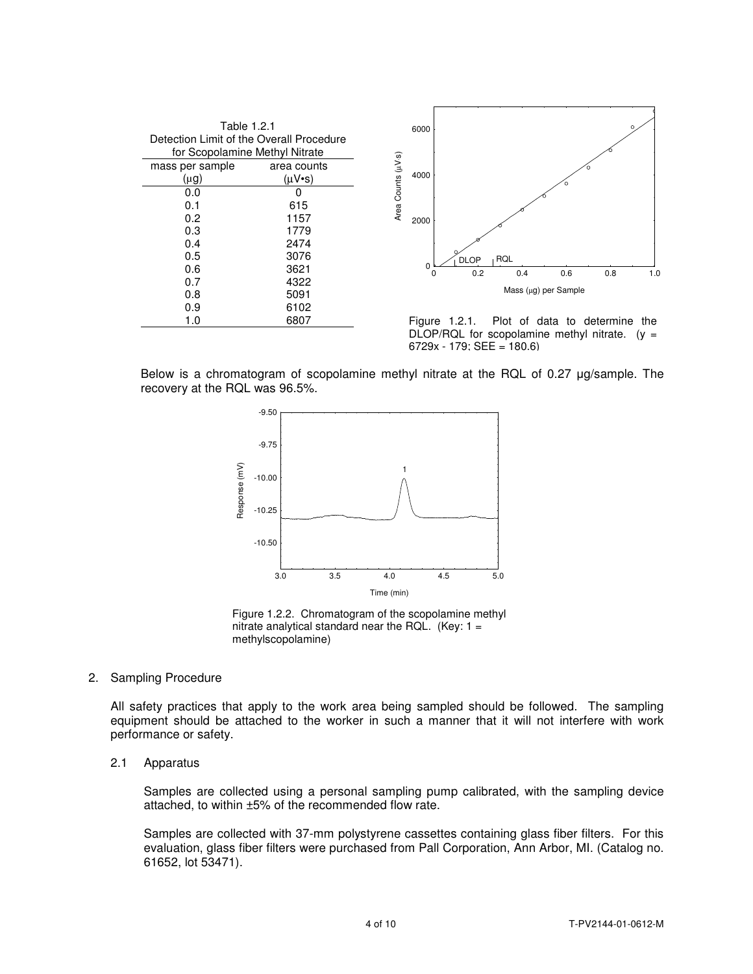| Table 1.2.1<br>Detection Limit of the Overall Procedure<br>for Scopolamine Methyl Nitrate |                                  |                    | 6000 |                                                 |     |     |                               |     | Ω   |
|-------------------------------------------------------------------------------------------|----------------------------------|--------------------|------|-------------------------------------------------|-----|-----|-------------------------------|-----|-----|
| mass per sample<br>(µg)                                                                   | area counts<br>$(\mu V \cdot s)$ | Area Counts (µV-s) | 4000 |                                                 |     |     |                               |     |     |
| 0.0                                                                                       | 0                                |                    |      |                                                 |     |     |                               |     |     |
| 0.1                                                                                       | 615                              |                    |      |                                                 |     |     |                               |     |     |
| 0.2                                                                                       | 1157                             |                    | 2000 |                                                 |     |     |                               |     |     |
| 0.3                                                                                       | 1779                             |                    |      |                                                 |     |     |                               |     |     |
| 0.4                                                                                       | 2474                             |                    |      |                                                 |     |     |                               |     |     |
| 0.5                                                                                       | 3076                             |                    |      | <b>DLOP</b>                                     | RQL |     |                               |     |     |
| 0.6                                                                                       | 3621                             |                    | 0    | 0.2                                             |     | 0.4 | 0.6                           | 0.8 | 1.0 |
| 0.7                                                                                       | 4322                             |                    |      |                                                 |     |     |                               |     |     |
| 0.8                                                                                       | 5091                             |                    |      |                                                 |     |     | Mass (µg) per Sample          |     |     |
| 0.9                                                                                       | 6102                             |                    |      |                                                 |     |     |                               |     |     |
| 1.0                                                                                       | 6807                             |                    |      | Figure 1.2.1.                                   |     |     | Plot of data to determine the |     |     |
|                                                                                           |                                  |                    |      | DLOP/RQL for scopolamine methyl nitrate. $(y =$ |     |     |                               |     |     |

Below is a chromatogram of scopolamine methyl nitrate at the RQL of 0.27 µg/sample. The recovery at the RQL was 96.5%.

6729x - 179; SEE = 180.6)



Figure 1.2.2. Chromatogram of the scopolamine methyl nitrate analytical standard near the RQL. (Key:  $1 =$ methylscopolamine)

#### 2. Sampling Procedure

All safety practices that apply to the work area being sampled should be followed. The sampling equipment should be attached to the worker in such a manner that it will not interfere with work performance or safety.

#### 2.1 Apparatus

Samples are collected using a personal sampling pump calibrated, with the sampling device attached, to within ±5% of the recommended flow rate.

Samples are collected with 37-mm polystyrene cassettes containing glass fiber filters. For this evaluation, glass fiber filters were purchased from Pall Corporation, Ann Arbor, MI. (Catalog no. 61652, lot 53471).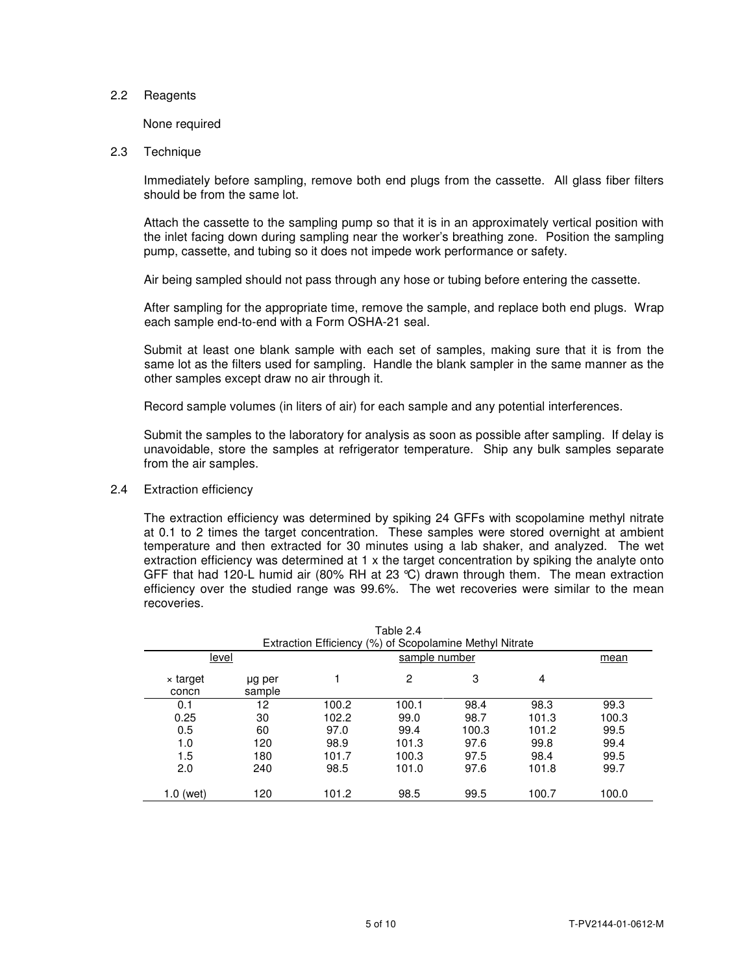# 2.2 Reagents

None required

# 2.3 Technique

Immediately before sampling, remove both end plugs from the cassette. All glass fiber filters should be from the same lot.

 Attach the cassette to the sampling pump so that it is in an approximately vertical position with the inlet facing down during sampling near the worker's breathing zone. Position the sampling pump, cassette, and tubing so it does not impede work performance or safety.

Air being sampled should not pass through any hose or tubing before entering the cassette.

 After sampling for the appropriate time, remove the sample, and replace both end plugs. Wrap each sample end-to-end with a Form OSHA-21 seal.

Submit at least one blank sample with each set of samples, making sure that it is from the same lot as the filters used for sampling. Handle the blank sampler in the same manner as the other samples except draw no air through it.

Record sample volumes (in liters of air) for each sample and any potential interferences.

Submit the samples to the laboratory for analysis as soon as possible after sampling. If delay is unavoidable, store the samples at refrigerator temperature. Ship any bulk samples separate from the air samples.

2.4 Extraction efficiency

 The extraction efficiency was determined by spiking 24 GFFs with scopolamine methyl nitrate at 0.1 to 2 times the target concentration. These samples were stored overnight at ambient temperature and then extracted for 30 minutes using a lab shaker, and analyzed. The wet extraction efficiency was determined at 1 x the target concentration by spiking the analyte onto GFF that had 120-L humid air (80% RH at 23 °C) drawn through them. The mean extraction efficiency over the studied range was 99.6%. The wet recoveries were similar to the mean recoveries.

| Table 2.4<br>Extraction Efficiency (%) of Scopolamine Methyl Nitrate |                  |       |               |       |       |       |  |
|----------------------------------------------------------------------|------------------|-------|---------------|-------|-------|-------|--|
| level                                                                |                  |       | sample number |       |       | mean  |  |
| x target<br>concn                                                    | µg per<br>sample | 1     | 2             | 3     | 4     |       |  |
| 0.1                                                                  | 12               | 100.2 | 100.1         | 98.4  | 98.3  | 99.3  |  |
| 0.25                                                                 | 30               | 102.2 | 99.0          | 98.7  | 101.3 | 100.3 |  |
| 0.5                                                                  | 60               | 97.0  | 99.4          | 100.3 | 101.2 | 99.5  |  |
| 1.0                                                                  | 120              | 98.9  | 101.3         | 97.6  | 99.8  | 99.4  |  |
| 1.5                                                                  | 180              | 101.7 | 100.3         | 97.5  | 98.4  | 99.5  |  |
| 2.0                                                                  | 240              | 98.5  | 101.0         | 97.6  | 101.8 | 99.7  |  |
| $1.0$ (wet)                                                          | 120              | 101.2 | 98.5          | 99.5  | 100.7 | 100.0 |  |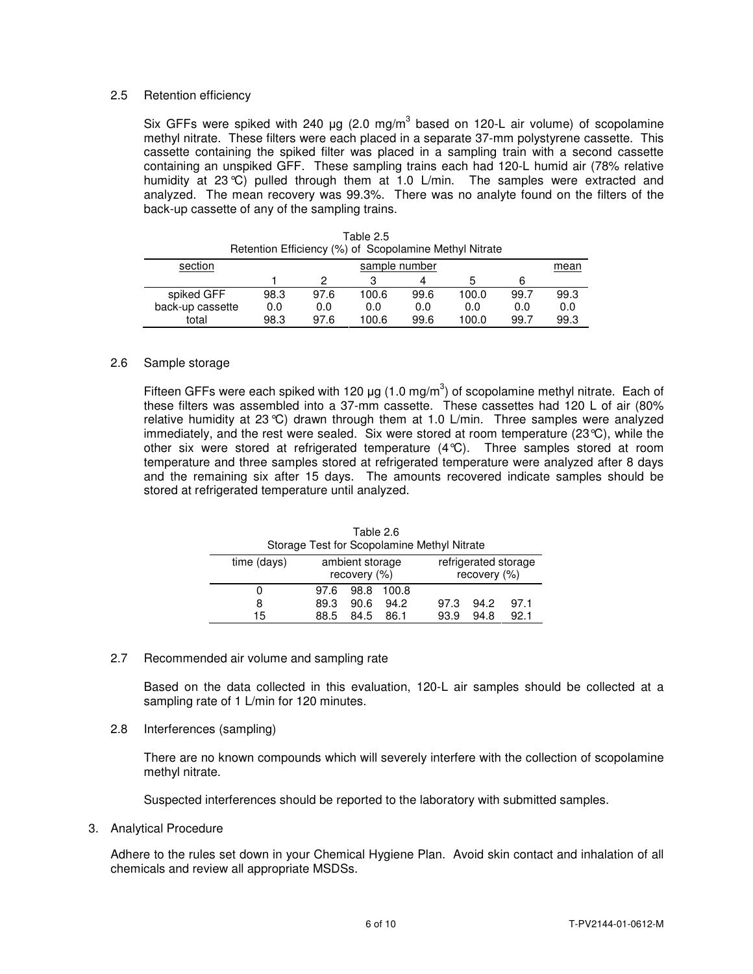# 2.5 Retention efficiency

Six GFFs were spiked with 240  $\mu$ g (2.0 mg/m<sup>3</sup> based on 120-L air volume) of scopolamine methyl nitrate. These filters were each placed in a separate 37-mm polystyrene cassette. This cassette containing the spiked filter was placed in a sampling train with a second cassette containing an unspiked GFF. These sampling trains each had 120-L humid air (78% relative humidity at 23°C) pulled through them at 1.0 L/min. The samples were extracted and analyzed. The mean recovery was 99.3%. There was no analyte found on the filters of the back-up cassette of any of the sampling trains.

| Retention Efficiency (%) of Scopolamine Methyl Nitrate |               |      |       |      |       |      |      |
|--------------------------------------------------------|---------------|------|-------|------|-------|------|------|
| section                                                | sample number |      |       |      |       |      | mean |
|                                                        |               |      |       | Δ    |       |      |      |
| spiked GFF                                             | 98.3          | 97.6 | 100.6 | 99.6 | 100.0 | 99.7 | 99.3 |
| back-up cassette                                       | 0.0           | 0.0  | 0.0   | 0.0  | 0.0   | 0.0  | 0.0  |
| total                                                  | 98.3          | 97.6 | 100.6 | 99.6 | 100.0 | 99.7 | 99.3 |

# Table 2.5

#### 2.6 Sample storage

Fifteen GFFs were each spiked with 120  $\mu$ g (1.0 mg/m<sup>3</sup>) of scopolamine methyl nitrate. Each of these filters was assembled into a 37-mm cassette. These cassettes had 120 L of air (80% relative humidity at 23°C) drawn through them at 1.0 L/min. Three samples were analyzed immediately, and the rest were sealed. Six were stored at room temperature (23°C), while the other six were stored at refrigerated temperature (4°C). Three samples stored at room temperature and three samples stored at refrigerated temperature were analyzed after 8 days and the remaining six after 15 days. The amounts recovered indicate samples should be stored at refrigerated temperature until analyzed.

|                                                                                        | Tault 4.0<br>Storage Test for Scopolamine Methyl Nitrate |      |      |       |      |      |      |  |
|----------------------------------------------------------------------------------------|----------------------------------------------------------|------|------|-------|------|------|------|--|
| refrigerated storage<br>ambient storage<br>time (days)<br>recovery (%)<br>recovery (%) |                                                          |      |      |       |      |      |      |  |
|                                                                                        | 0                                                        | 97.6 | 98.8 | 100.8 |      |      |      |  |
|                                                                                        | 8                                                        | 89.3 | 90.6 | 94.2  | 97.3 | 94.2 | 97.1 |  |
|                                                                                        | 15                                                       | 88.5 | 84.5 | 86.1  | 93.9 | 94.8 | 92.1 |  |

Table 2.6

# 2.7 Recommended air volume and sampling rate

Based on the data collected in this evaluation, 120-L air samples should be collected at a sampling rate of 1 L/min for 120 minutes.

# 2.8 Interferences (sampling)

There are no known compounds which will severely interfere with the collection of scopolamine methyl nitrate.

Suspected interferences should be reported to the laboratory with submitted samples.

# 3. Analytical Procedure

Adhere to the rules set down in your Chemical Hygiene Plan. Avoid skin contact and inhalation of all chemicals and review all appropriate MSDSs.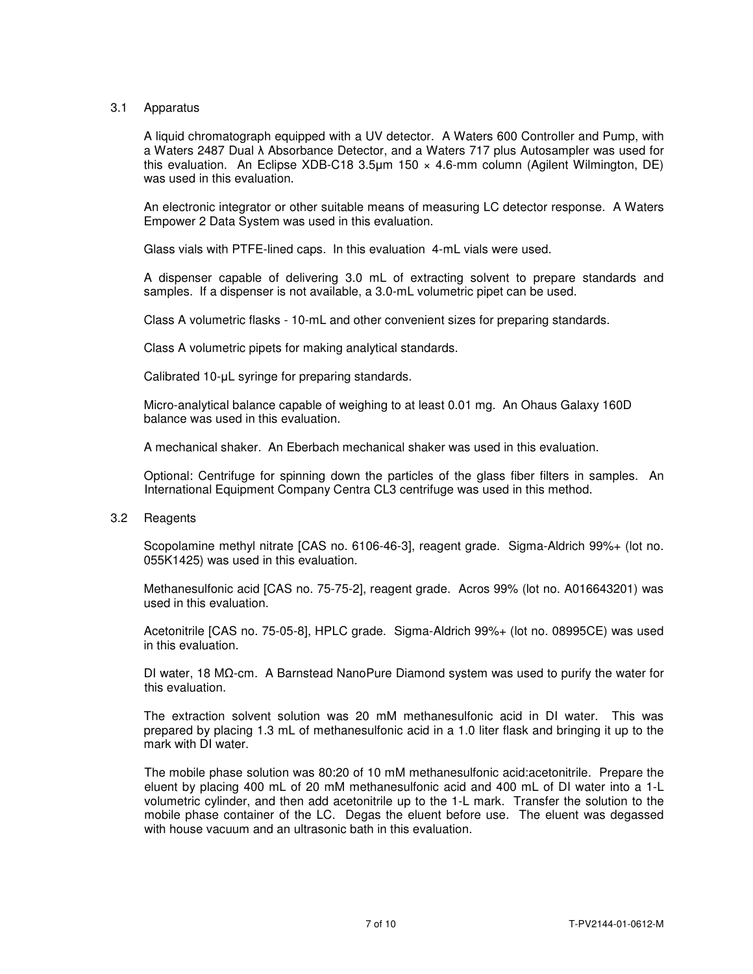# 3.1 Apparatus

A liquid chromatograph equipped with a UV detector. A Waters 600 Controller and Pump, with a Waters 2487 Dual λ Absorbance Detector, and a Waters 717 plus Autosampler was used for this evaluation. An Eclipse XDB-C18 3.5µm 150 × 4.6-mm column (Agilent Wilmington, DE) was used in this evaluation.

 An electronic integrator or other suitable means of measuring LC detector response. A Waters Empower 2 Data System was used in this evaluation.

Glass vials with PTFE-lined caps. In this evaluation 4-mL vials were used.

 A dispenser capable of delivering 3.0 mL of extracting solvent to prepare standards and samples. If a dispenser is not available, a 3.0-mL volumetric pipet can be used.

Class A volumetric flasks - 10-mL and other convenient sizes for preparing standards.

Class A volumetric pipets for making analytical standards.

Calibrated 10-µL syringe for preparing standards.

Micro-analytical balance capable of weighing to at least 0.01 mg. An Ohaus Galaxy 160D balance was used in this evaluation.

A mechanical shaker. An Eberbach mechanical shaker was used in this evaluation.

 Optional: Centrifuge for spinning down the particles of the glass fiber filters in samples. An International Equipment Company Centra CL3 centrifuge was used in this method.

3.2 Reagents

Scopolamine methyl nitrate [CAS no. 6106-46-3], reagent grade. Sigma-Aldrich 99%+ (lot no. 055K1425) was used in this evaluation.

Methanesulfonic acid [CAS no. 75-75-2], reagent grade. Acros 99% (lot no. A016643201) was used in this evaluation.

Acetonitrile [CAS no. 75-05-8], HPLC grade. Sigma-Aldrich 99%+ (lot no. 08995CE) was used in this evaluation.

 DI water, 18 MΩ-cm. A Barnstead NanoPure Diamond system was used to purify the water for this evaluation.

The extraction solvent solution was 20 mM methanesulfonic acid in DI water. This was prepared by placing 1.3 mL of methanesulfonic acid in a 1.0 liter flask and bringing it up to the mark with DI water.

 The mobile phase solution was 80:20 of 10 mM methanesulfonic acid:acetonitrile. Prepare the eluent by placing 400 mL of 20 mM methanesulfonic acid and 400 mL of DI water into a 1-L volumetric cylinder, and then add acetonitrile up to the 1-L mark. Transfer the solution to the mobile phase container of the LC. Degas the eluent before use. The eluent was degassed with house vacuum and an ultrasonic bath in this evaluation.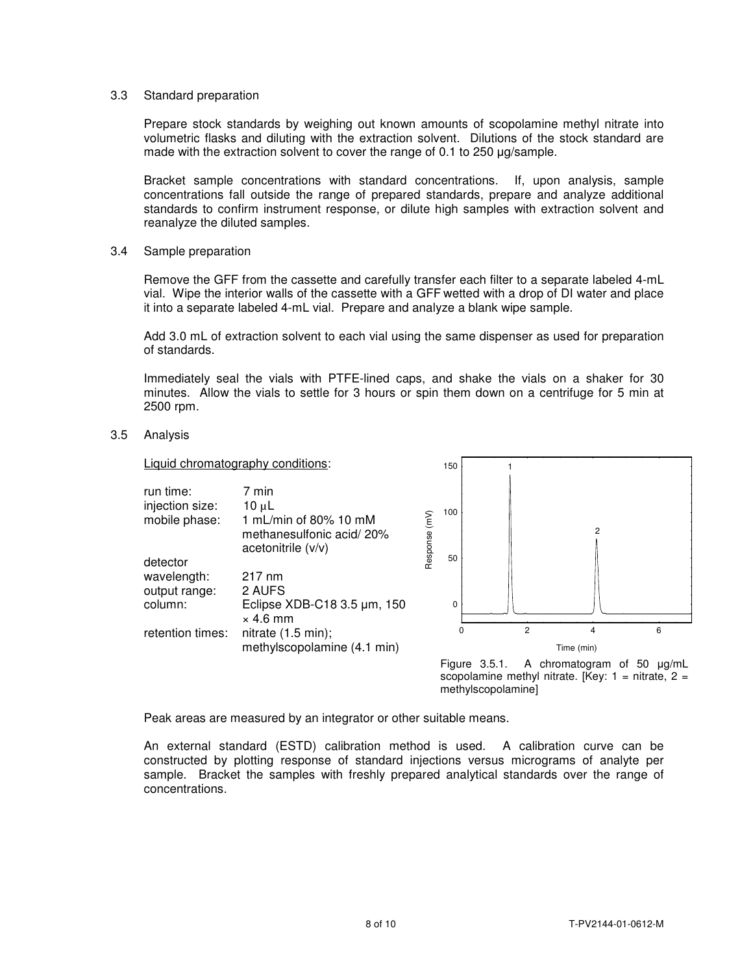### 3.3 Standard preparation

Prepare stock standards by weighing out known amounts of scopolamine methyl nitrate into volumetric flasks and diluting with the extraction solvent. Dilutions of the stock standard are made with the extraction solvent to cover the range of 0.1 to 250 µg/sample.

Bracket sample concentrations with standard concentrations. If, upon analysis, sample concentrations fall outside the range of prepared standards, prepare and analyze additional standards to confirm instrument response, or dilute high samples with extraction solvent and reanalyze the diluted samples.

#### 3.4 Sample preparation

 Remove the GFF from the cassette and carefully transfer each filter to a separate labeled 4-mL vial. Wipe the interior walls of the cassette with a GFF wetted with a drop of DI water and place it into a separate labeled 4-mL vial. Prepare and analyze a blank wipe sample.

Add 3.0 mL of extraction solvent to each vial using the same dispenser as used for preparation of standards.

Immediately seal the vials with PTFE-lined caps, and shake the vials on a shaker for 30 minutes. Allow the vials to settle for 3 hours or spin them down on a centrifuge for 5 min at 2500 rpm.

#### 3.5 Analysis

Liquid chromatography conditions:



150

1

scopolamine methyl nitrate. [Key:  $1 =$  nitrate,  $2 =$ methylscopolamine]

Peak areas are measured by an integrator or other suitable means.

An external standard (ESTD) calibration method is used. A calibration curve can be constructed by plotting response of standard injections versus micrograms of analyte per sample. Bracket the samples with freshly prepared analytical standards over the range of concentrations.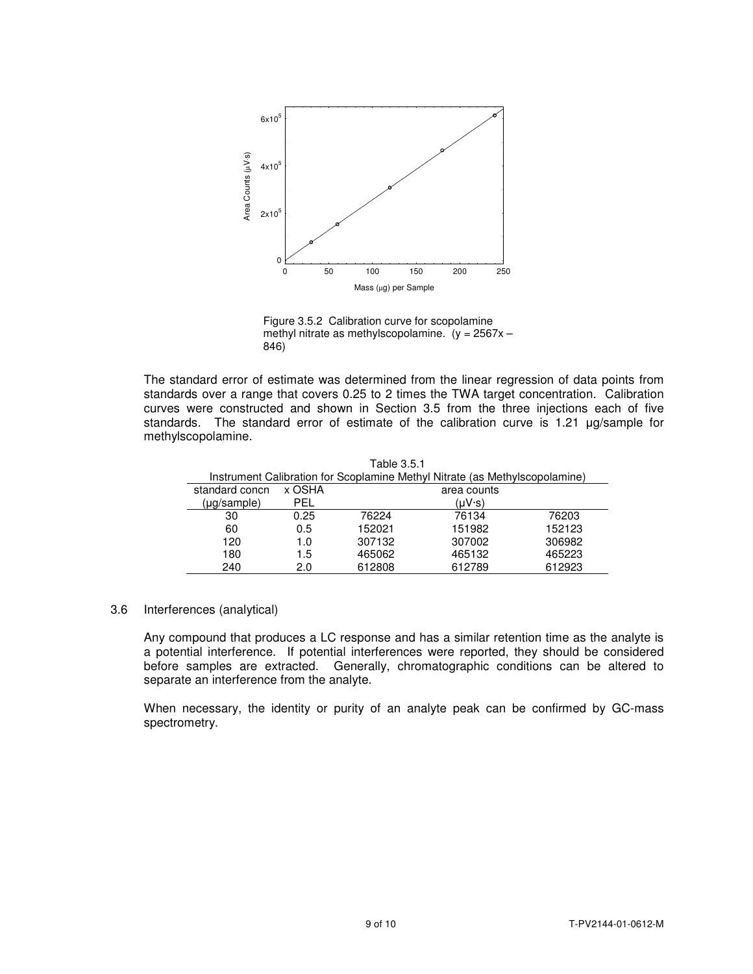

Figure 3.5.2 Calibration curve for scopolamine methyl nitrate as methylscopolamine.  $(y = 2567x -$ 846)

The standard error of estimate was determined from the linear regression of data points from standards over a range that covers 0.25 to 2 times the TWA target concentration. Calibration curves were constructed and shown in Section 3.5 from the three injections each of five standards. The standard error of estimate of the calibration curve is 1.21 µg/sample for methylscopolamine.

|  | Table 3.5.1 |  |  |  |  |
|--|-------------|--|--|--|--|
|  |             |  |  |  |  |

Instrument Calibration for Scoplamine Methyl Nitrate (as Methylscopolamine)

| standard concn | x OSHA | area counts |        |        |  |  |  |  |
|----------------|--------|-------------|--------|--------|--|--|--|--|
| (µg/sample)    | PFI    |             | (uV·s) |        |  |  |  |  |
| 30             | 0.25   | 76224       | 76134  | 76203  |  |  |  |  |
| 60             | 0.5    | 152021      | 151982 | 152123 |  |  |  |  |
| 120            | 1.0    | 307132      | 307002 | 306982 |  |  |  |  |
| 180            | 1.5    | 465062      | 465132 | 465223 |  |  |  |  |
| 240            | 2.0    | 612808      | 612789 | 612923 |  |  |  |  |

#### 3.6 Interferences (analytical)

 Any compound that produces a LC response and has a similar retention time as the analyte is a potential interference. If potential interferences were reported, they should be considered before samples are extracted. Generally, chromatographic conditions can be altered to separate an interference from the analyte.

When necessary, the identity or purity of an analyte peak can be confirmed by GC-mass spectrometry.